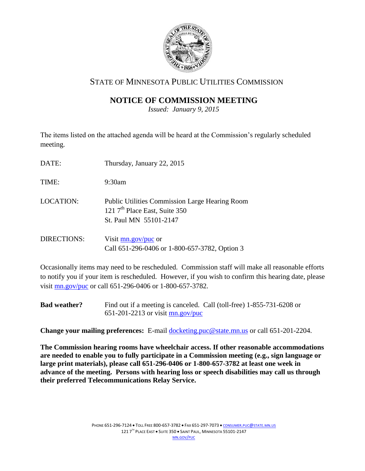

### STATE OF MINNESOTA PUBLIC UTILITIES COMMISSION

## **NOTICE OF COMMISSION MEETING**

*Issued: January 9, 2015*

The items listed on the attached agenda will be heard at the Commission's regularly scheduled meeting.

| DATE:              | Thursday, January 22, 2015                                                                                                   |
|--------------------|------------------------------------------------------------------------------------------------------------------------------|
| TIME:              | $9:30$ am                                                                                                                    |
| <b>LOCATION:</b>   | <b>Public Utilities Commission Large Hearing Room</b><br>121 7 <sup>th</sup> Place East, Suite 350<br>St. Paul MN 55101-2147 |
| <b>DIRECTIONS:</b> | Visit $mn.gov/puc$ or<br>Call 651-296-0406 or 1-800-657-3782, Option 3                                                       |

Occasionally items may need to be rescheduled. Commission staff will make all reasonable efforts to notify you if your item is rescheduled. However, if you wish to confirm this hearing date, please visit [mn.gov/puc](http://www.puc.state.mn.us/) or call 651-296-0406 or 1-800-657-3782.

**Bad weather?** Find out if a meeting is canceled. Call (toll-free) 1-855-731-6208 or 651-201-2213 or visit [mn.gov/puc](http://www.puc.state.mn.us/)

**Change your mailing preferences:** E-mail docketing.puc@state.mn.us or call 651-201-2204.

**The Commission hearing rooms have wheelchair access. If other reasonable accommodations are needed to enable you to fully participate in a Commission meeting (e.g., sign language or large print materials), please call 651-296-0406 or 1-800-657-3782 at least one week in advance of the meeting. Persons with hearing loss or speech disabilities may call us through their preferred Telecommunications Relay Service.**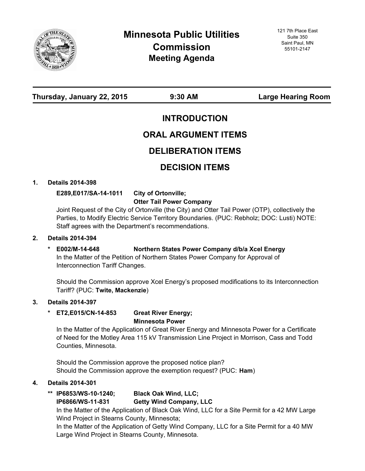

**Thursday, January 22, 2015 9:30 AM Large Hearing Room**

### **INTRODUCTION**

# **ORAL ARGUMENT ITEMS**

### **DELIBERATION ITEMS**

# **DECISION ITEMS**

### **1. Details 2014-398**

**E289,E017/SA-14-1011 City of Ortonville; Otter Tail Power Company**

Joint Request of the City of Ortonville (the City) and Otter Tail Power (OTP), collectively the Parties, to Modify Electric Service Territory Boundaries. (PUC: Rebholz; DOC: Lusti) NOTE: Staff agrees with the Department's recommendations.

### **2. Details 2014-394**

### **\* E002/M-14-648 Northern States Power Company d/b/a Xcel Energy**

In the Matter of the Petition of Northern States Power Company for Approval of Interconnection Tariff Changes.

Should the Commission approve Xcel Energy's proposed modifications to its Interconnection Tariff? (PUC: **Twite, Mackenzie**)

### **3. Details 2014-397**

#### **\* ET2,E015/CN-14-853 Great River Energy; Minnesota Power**

In the Matter of the Application of Great River Energy and Minnesota Power for a Certificate of Need for the Motley Area 115 kV Transmission Line Project in Morrison, Cass and Todd Counties, Minnesota.

Should the Commission approve the proposed notice plan? Should the Commission approve the exemption request? (PUC: **Ham**)

### **4. Details 2014-301**

**\*\* IP6853/WS-10-1240; Black Oak Wind, LLC;**

### **IP6866/WS-11-831 Getty Wind Company, LLC**

In the Matter of the Application of Black Oak Wind, LLC for a Site Permit for a 42 MW Large Wind Project in Stearns County, Minnesota;

In the Matter of the Application of Getty Wind Company, LLC for a Site Permit for a 40 MW Large Wind Project in Stearns County, Minnesota.